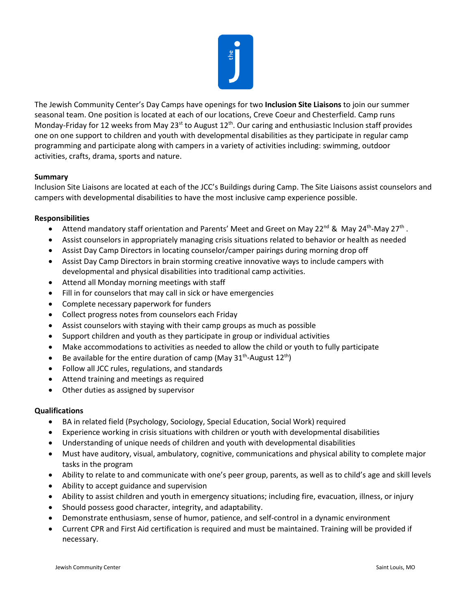

The Jewish Community Center's Day Camps have openings for two **Inclusion Site Liaisons** to join our summer seasonal team. One position is located at each of our locations, Creve Coeur and Chesterfield. Camp runs Monday-Friday for 12 weeks from May 23<sup>st</sup> to August 12<sup>th</sup>. Our caring and enthusiastic Inclusion staff provides one on one support to children and youth with developmental disabilities as they participate in regular camp programming and participate along with campers in a variety of activities including: swimming, outdoor activities, crafts, drama, sports and nature.

## **Summary**

Inclusion Site Liaisons are located at each of the JCC's Buildings during Camp. The Site Liaisons assist counselors and campers with developmental disabilities to have the most inclusive camp experience possible.

## **Responsibilities**

- Attend mandatory staff orientation and Parents' Meet and Greet on May 22<sup>nd</sup> & May 24<sup>th</sup>-May 27<sup>th</sup>.
- Assist counselors in appropriately managing crisis situations related to behavior or health as needed
- Assist Day Camp Directors in locating counselor/camper pairings during morning drop off
- Assist Day Camp Directors in brain storming creative innovative ways to include campers with developmental and physical disabilities into traditional camp activities.
- Attend all Monday morning meetings with staff
- Fill in for counselors that may call in sick or have emergencies
- Complete necessary paperwork for funders
- Collect progress notes from counselors each Friday
- Assist counselors with staying with their camp groups as much as possible
- Support children and youth as they participate in group or individual activities
- Make accommodations to activities as needed to allow the child or youth to fully participate
- Be available for the entire duration of camp (May  $31<sup>th</sup>$ -August  $12<sup>th</sup>$ )
- Follow all JCC rules, regulations, and standards
- Attend training and meetings as required
- Other duties as assigned by supervisor

## **Qualifications**

- BA in related field (Psychology, Sociology, Special Education, Social Work) required
- Experience working in crisis situations with children or youth with developmental disabilities
- Understanding of unique needs of children and youth with developmental disabilities
- Must have auditory, visual, ambulatory, cognitive, communications and physical ability to complete major tasks in the program
- Ability to relate to and communicate with one's peer group, parents, as well as to child's age and skill levels
- Ability to accept guidance and supervision
- Ability to assist children and youth in emergency situations; including fire, evacuation, illness, or injury
- Should possess good character, integrity, and adaptability.
- Demonstrate enthusiasm, sense of humor, patience, and self-control in a dynamic environment
- Current CPR and First Aid certification is required and must be maintained. Training will be provided if necessary.